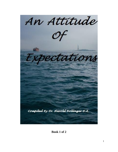

**Book 1 of 2**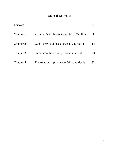# **Table of Contents**

| Forward   |                                             |                |
|-----------|---------------------------------------------|----------------|
| Chapter 1 | Abraham's faith was tested by difficulties. | $\overline{4}$ |
| Chapter 2 | God's provision is as large as your faith   | 14             |
| Chapter 3 | Faith is not based on personal comfort.     | 23             |
| Chapter 4 | The relationship between faith and deeds    | 32             |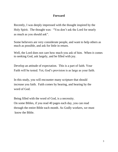## **Forward**

Recently, I was deeply impressed with the thought inspired by the Holy Spirit. The thought was: "You don't ask the Lord for nearly as much as you should ask".

Some believers are very considerate people, and want to help others as much as possible, and ask for little in return.

Well, the Lord does not care how much you ask of him. When it comes to seeking God, ask largely, and be filled with joy.

Develop an attitude of expectation. This is a part of faith. Your Faith will be tested. Yet, God's provision is as large as your faith.

In this study, you will encounter many scripture that should increase you faith. Faith comes by hearing, and hearing by the word of God.

Being filled with the word of God, is a necessity. On some Bibles, if you read 40 pages each day, you can read through the entire Bible each month. As Godly workers, we must know the Bible.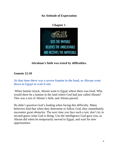**An Attitude of Expectation**



**Abraham's faith was tested by difficulties.**

## **Genesis 12:10**

**At that time there was a severe famine in the land, so Abram went down to Egypt to wait it out.** 

When famine struck, Abram went to Egypt where there was food. Why would there be a famine in the land where God had just called Abram? This was a test of Abram's faith, and Abram passed.

He didn't question God's leading when facing this difficulty. Many believers find that when they determine to follow God, they immediately encounter great obstacles. The next time you face such a test, don't try to second-guess what God is doing. Use the intelligence God gave you, as Abram did when he temporarily moved to Egypt, and wait for new opportunities.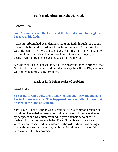## **Faith made Abraham right with God.**

### Genesis 15:6

## **And Abram believed the Lord, and the Lord declared him righteous because of his faith.**

Although Abram had been demonstrating his faith through his actions, it was his belief in the Lord, not his actions that made Abram right with God (Romans 4:1-5). We too can have a right relationship with God by trusting him. Our outward actions—church attendance, prayer, good deeds—will not by themselves make us right with God.

A right relationship is based on faith—the heartfelt inner confidence that God is who he says he is and does what he says he will do. Right actions will follow naturally as by-products.

## **Lack of faith brings series of problem**

Genesis 16:3

### **So Sarai, Abram's wife, took Hagar the Egyptian servant and gave her to Abram as a wife. (This happened ten years after Abram first arrived in the land of Canaan.)**

Sarai gave Hagar to Abram as a substitute wife, a common practice of that time. A married woman who could not have children was shamed by her peers and was often required to give a female servant to her husband in order to produce heirs. The children born to the servant woman were considered the children of the wife. Abram was acting in line with the custom of the day, but his action showed a lack of faith that God would fulfill his promise.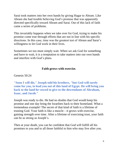Sarai took matters into her own hands by giving Hagar to Abram. Like Abram she had trouble believing God's promise that was apparently directed specifically toward Abram and Sarai. Out of this lack of faith came a series of problems.

This invariably happens when we take over for God, trying to make his promise come true through efforts that are not in line with his specific directions. In this case, time was the greatest test of Abram and Sarai's willingness to let God work in their lives.

Sometimes we too must simply wait. When we ask God for something and have to wait, it is a temptation to take matters into our own hands and interfere with God's plans.

## **Faith grows with exercise.**

Genesis 50:24

**"Soon I will die," Joseph told his brothers, "but God will surely come for you, to lead you out of this land of Egypt. He will bring you back to the land he vowed to give to the descendants of Abraham, Isaac, and Jacob."** 

Joseph was ready to die. He had no doubts that God would keep his promise and one day bring the Israelites back to their homeland. What a tremendous example! The secret of that kind of faith is a lifetime of trusting God. Your faith is like a muscle—it grows with exercise, gaining strength over time. After a lifetime of exercising trust, your faith can be as strong as Joseph's.

Then at your death, you can be confident that God will fulfill all his promises to you and to all those faithful to him who may live after you.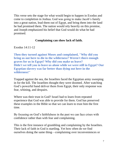This verse sets the stage for what would begin to happen in Exodus and come to completion in Joshua. God was going to make Jacob's family into a great nation, lead them out of Egypt, and bring them into the land he had promised them. The nation would rely heavily on this promise, and Joseph emphasized his belief that God would do what he had promised.

### **Complaining can show lack of faith.**

Exodus 14:11-12

**Then they turned against Moses and complained, "Why did you bring us out here to die in the wilderness? Weren't there enough graves for us in Egypt? Why did you make us leave? Didn't we tell you to leave us alone while we were still in Egypt? Our Egyptian slavery was far better than dying out here in the wilderness!"** 

Trapped against the sea, the Israelites faced the Egyptian army sweeping in for the kill. The Israelites thought they were doomed. After watching God's powerful hand deliver them from Egypt, their only response was fear, whining, and despairs.

Where was their trust in God? Israel had to learn from repeated experience that God was able to provide for them. God has preserved these examples in the Bible so that we can learn to trust him the first time.

By focusing on God's faithfulness in the past we can face crises with confidence rather than with fear and complaining.

This is the first instance of grumbling and complaining by the Israelites. Their lack of faith in God is startling. Yet how often do we find ourselves doing the same thing—complaining over inconveniences or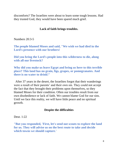discomforts? The Israelites were about to learn some tough lessons. Had they trusted God, they would have been spared much grief.

### **Lack of faith brings troubles.**

Numbers 20:3-5

**The people blamed Moses and said, "We wish we had died in the Lord's presence with our brothers!** 

**Did you bring the Lord's people into this wilderness to die, along with all our livestock?** 

**Why did you make us leave Egypt and bring us here to this terrible place? This land has no grain, figs, grapes, or pomegranates. And there is no water to drink!"** 

 After 37 years in the desert, the Israelites forgot that their wanderings were a result of their parents' and their own sin. They could not accept the fact that they brought their problems upon themselves, so they blamed Moses for their condition. Often our troubles result from our own disobedience or lack of faith. We cannot blame God for our sins. Until we face this reality, we will have little peace and no spiritual growth.

#### **Despite the difficulties**

Deut. 1:22

**"But you responded, 'First, let's send out scouts to explore the land for us. They will advise us on the best route to take and decide which towns we should capture.'**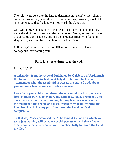The spies were sent into the land to determine not *whether* they should enter, but *where* they should enter. Upon returning, however, most of the spies concluded that the land was not worth the obstacles.

God would give the Israelites the power to conquer the land, but they were afraid of the risk and decided not to enter. God gives us the power to overcome our obstacles, but like the Israelites filled with fear and skepticism, we often let difficulties control our lives.

Following God regardless of the difficulties is the way to have courageous, overcoming faith.

## **Faith involves endurance to the end.**

Joshua 14:6-12

**A delegation from the tribe of Judah, led by Caleb son of Jephunneh the Kenizzite, came to Joshua at Gilgal. Caleb said to Joshua, "Remember what the Lord said to Moses, the man of God, about you and me when we were at Kadesh-barnea.** 

**I was forty years old when Moses, the servant of the Lord, sent me from Kadesh-barnea to explore the land of Canaan. I returned and gave from my heart a good report, but my brothers who went with me frightened the people and discouraged them from entering the Promised Land. For my part, I followed the Lord my God completely.** 

**So that day Moses promised me, 'The land of Canaan on which you were just walking will be your special possession and that of your descendants forever, because you wholeheartedly followed the Lord my God.'**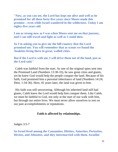**"Now, as you can see, the Lord has kept me alive and well as he promised for all these forty-five years since Moses made this promise—even while Israel wandered in the wilderness. Today I am eighty-five years old.** 

**I am as strong now as I was when Moses sent me on that journey, and I can still travel and fight as well as I could then.** 

**So I'm asking you to give me the hill country that the Lord promised me. You will remember that as scouts we found the Anakites living there in great, walled cities.** 

#### **But if the Lord is with me, I will drive them out of the land, just as the Lord said."**

Caleb was faithful from the start. As one of the original spies sent into the Promised Land (Numbers 13:30-33), he saw great cities and giants, yet he knew God would help the people conquer the land. Because of his faith, God promised him a personal inheritance of land (Numbers 14:24; Deut. 1:34-36). Here, 45 years later, the land was given to him.

His faith was still unwavering. Although his inherited land still had giants, Caleb knew the Lord would help him conquer them. Like Caleb, we must be faithful to God, not only at the start of our walk with him, but through our entire lives. We must never allow ourselves to rest on our past accomplishments or reputations.

#### **Faith is affected by relationships.**

Judges 3:5-7

**So Israel lived among the Canaanites, Hittites, Amorites, Perizzites, Hivites, and Jebusites, and they intermarried with them. Israelite**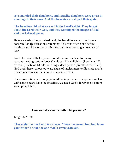**sons married their daughters, and Israelite daughters were given in marriage to their sons. And the Israelites worshiped their gods.**

**The Israelites did what was evil in the Lord's sight. They forgot about the Lord their God, and they worshiped the images of Baal and the Asherah poles.** 

Before entering the promised land, the Israelites were to perform a consecration (purification) ceremony. This was often done before making a sacrifice or, as in this case, before witnessing a great act of God.

God's law stated that a person could become unclean for many reasons—eating certain foods (Leviticus 11), childbirth (Leviticus 12), disease (Leviticus 13-14), touching a dead person (Numbers 19:11-22). God used these various outward signs of uncleanness to illustrate man's inward uncleanness that comes as a result of sin.

The consecration ceremony pictured the importance of approaching God with a pure heart. Like the Israelites, we need God's forgiveness before we approach him.

### **How well does yours faith take pressure?**

Judges 6:25-30

**That night the Lord said to Gideon, "Take the second best bull from your father's herd, the one that is seven years old.**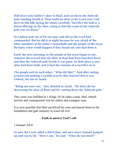**Pull down your father's altar to Baal, and cut down the Asherah pole standing beside it. Then build an altar to the Lord your God here on this hill, laying the stones carefully. Sacrifice the bull as a burnt offering on the altar, using as fuel the wood of the Asherah pole you cut down."** 

**So Gideon took ten of his servants and did as the Lord had commanded. But he did it at night because he was afraid of the other members of his father's household and the people of the town. He knew what would happen if they found out who had done it.** 

**Early the next morning, as the people of the town began to stir, someone discovered that the altar of Baal had been knocked down and that the Asherah pole beside it was gone. In their place a new altar had been built, and it had the remains of a sacrifice on it.** 

**The people said to each other, "Who did this?" And after asking around and making a careful search, they learned that it was Gideon, the son of Joash.** 

**"Bring out your son," they shouted to Joash. "He must die for destroying the altar of Baal and for cutting down the Asherah pole."** 

This curse was fulfilled in 1 Kings 16:34 when a man, Hiel, rebuilt Jericho and consequently lost his oldest and youngest sons.

It is very possible that Hiel sacrificed his sons and placed them in the foundation and gate masonry to ward off evil.

### **Faith to answer God's call**

1 Samuel 3:8-9

**So now the Lord called a third time, and once more Samuel jumped up and ran to Eli. "Here I am," he said. "What do you need?"**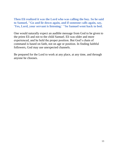**Then Eli realized it was the Lord who was calling the boy. So he said to Samuel, "Go and lie down again, and if someone calls again, say, 'Yes, Lord, your servant is listening.' "So Samuel went back to bed.** 

One would naturally expect an audible message from God to be given to the priest Eli and not to the child Samuel. Eli was older and more experienced, and he held the proper position. But God's chain of command is based on faith, not on age or position. In finding faithful followers, God may use unexpected channels.

Be prepared for the Lord to work at any place, at any time, and through anyone he chooses.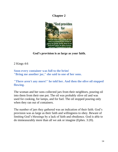## **Chapter 2**



**God's provision is as large as your faith.**

2 Kings 4:6

**Soon every container was full to the brim! "Bring me another jar," she said to one of her sons.**

**"There aren't any more!" he told her. And then the olive oil stopped flowing.** 

The woman and her sons collected jars from their neighbors, pouring oil into them from their one pot. The oil was probably olive oil and was used for cooking, for lamps, and for fuel. The oil stopped pouring only when they ran out of containers.

The number of jars they gathered was an indication of their faith. God's provision was as large as their faith and willingness to obey. Beware of limiting God's blessings by a lack of faith and obedience. God is able to do immeasurably more than all we ask or imagine (Ephes. 3:20).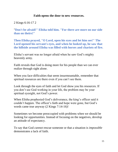### **Faith opens the door to new resources.**

2 Kings 6:16-17 2

"**Don't be afraid!" Elisha told him. "For there are more on our side than on theirs!"** 

**Then Elisha prayed, "O Lord, open his eyes and let him see!" The Lord opened his servant's eyes, and when he looked up, he saw that the hillside around Elisha was filled with horses and chariots of fire.** 

Elisha's servant was no longer afraid when he saw God's mighty heavenly army.

Faith reveals that God is doing more for his people than we can ever realize through sight alone.

When you face difficulties that seem insurmountable, remember that spiritual resources are there even if you can't see them.

Look through the eyes of faith and let God show you his resources. If you don't see God working in your life, the problem may be your spiritual eyesight, not God's power.

When Elisha prophesied God's deliverance, the king's officer said it couldn't happen. The officer's faith and hope were gone, but God's words came true anyway (2 Kings 7:14-16)!

Sometimes we become preoccupied with problems when we should be looking for opportunities. Instead of focusing on the negatives, develop an attitude of expectancy.

To say that God *cannot* rescue someone or that a situation is *impossible* demonstrates a lack of faith.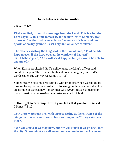### **Faith believes in the impossible.**

2 Kings 7:1-2

**Elisha replied, "Hear this message from the Lord! This is what the Lord says: By this time tomorrow in the markets of Samaria, five quarts of fine flour will cost only half an ounce of silver, and ten quarts of barley grain will cost only half an ounce of silver."** 

**The officer assisting the king said to the man of God, "That couldn't happen even if the Lord opened the windows of heaven!" But Elisha replied, "You will see it happen, but you won't be able to eat any of it!"**

When Elisha prophesied God's deliverance, the king's officer said it couldn't happen. The officer's faith and hope were gone, but God's words came true anyway (2 Kings 7:14-16)!

Sometimes we become preoccupied with problems when we should be looking for opportunities. Instead of focusing on the negatives, develop an attitude of expectancy. To say that God *cannot* rescue someone or that a situation is *impossible* demonstrates a lack of faith.

## **Don't get so preoccupied with your faith that you don't share it**. 2 Kings 7:3-10

**Now there were four men with leprosy sitting at the entrance of the city gates. "Why should we sit here waiting to die?" they asked each other.** 

**"We will starve if we stay here, and we will starve if we go back into the city. So we might as well go out and surrender to the Aramean**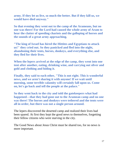**army. If they let us live, so much the better. But if they kill us, we would have died anyway."** 

**So that evening they went out to the camp of the Arameans, but no one was there! For the Lord had caused the whole army of Aram to hear the clatter of speeding chariots and the galloping of horses and the sounds of a great army approaching.** 

**"The king of Israel has hired the Hittites and Egyptians to attack us!" they cried out. So they panicked and fled into the night, abandoning their tents, horses, donkeys, and everything else, and they fled for their lives.**

**When the lepers arrived at the edge of the camp, they went into one tent after another, eating, drinking wine, and carrying out silver and gold and clothing and hiding it.** 

**Finally, they said to each other, "This is not right. This is wonderful news, and we aren't sharing it with anyone! If we wait until morning, some terrible calamity will certainly fall upon us. Come on, let's go back and tell the people at the palace."** 

**So they went back to the city and told the gatekeepers what had happened—that they had gone out to the Aramean camp and no one was there! The horses and donkeys were tethered and the tents were all in order, but there was not a single person around.** 

The lepers discovered the deserted camp and realized their lives had been spared. At first they kept the good news to themselves, forgetting their fellow citizens who were starving in the city.

The Good News about Jesus Christ must be shared too, for no news is more important.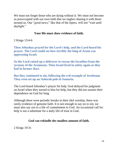We must not forget those who are dying without it. We must not become so preoccupied with our own faith that we neglect sharing it with those around us. Our "good news," like that of the lepers, will not "wait until daylight."

## **Your life must show evidence of faith.**

2 Kings 13:4-6

**Then Jehoahaz prayed for the Lord's help, and the Lord heard his prayer. The Lord could see how terribly the king of Aram was oppressing Israel.** 

**So the Lord raised up a deliverer to rescue the Israelites from the tyranny of the Arameans. Then Israel lived in safety again as they had in former days.** 

**But they continued to sin, following the evil example of Jeroboam. They even set up an Asherah pole in Samaria.** 

The Lord heard Jehoahaz's prayer for help. God delayed his judgment on Israel when they turned to him for help, but they did not sustain their dependence on God for long.

Although there were periodic breaks in their idol worship, there was rarely evidence of genuine faith. It is not enough to say no to sin; we must also say yes to a life of commitment to God. An occasional call for help is not a substitute for a daily life of trust in God.

## **God can rekindle the smallest amount of faith.**

2 Kings 19:31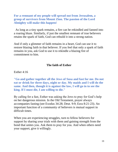**For a remnant of my people will spread out from Jerusalem, a group of survivors from Mount Zion. The passion of the Lord Almighty will make this happen!** 

As long as a tiny spark remains, a fire can be rekindled and fanned into a roaring blaze. Similarly, if just the smallest remnant of true believers retains the spark of faith, God can rebuild it into a strong nation.

And if only a glimmer of faith remains in a heart, God can use it to restore blazing faith in that believer. If you feel that only a spark of faith remains in you, ask God to use it to rekindle a blazing fire of commitment to him.

#### **The faith of Esther**

Esther 4:16

**"Go and gather together all the Jews of Susa and fast for me. Do not eat or drink for three days, night or day. My maids and I will do the same. And then, though it is against the law, I will go in to see the king. If I must die, I am willing to die."** 

By calling for a fast, Esther was asking the Jews to pray for God's help on her dangerous mission. In the Old Testament, prayer always accompanies fasting (see Exodus 34:28; Deut. 9:9; Ezra 8:21-23). An important function of a community of believers is mutual support in difficult times.

When you are experiencing struggles, turn to fellow believers for support by sharing your trials with them and gaining strength from the bond that unites you. Ask them to pray for you. And when others need your support, give it willingly.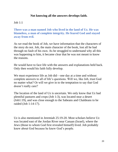## **Not knowing all the answers develops faith.**

## Job 1:1

**There was a man named Job who lived in the land of Uz. He was blameless, a man of complete integrity. He feared God and stayed away from evil.** 

As we read the book of Job, we have information that the characters of the story do not. Job, the main character of the book, lost all he had through no fault of his own. As he struggled to understand why all this was happening to him, it became clear that he was not meant to know the reasons.

He would have to face life with the answers and explanations held back. Only then would his faith fully develop.

We must experience life as Job did—one day at a time and without complete answers to all of life's questions. Will we, like Job, trust God no matter what? Or will we give in to the temptation to say that God doesn't really care?

The location of the land of Uz is uncertain. We only know that Uz had plentiful pastures and crops (Job 1:3), was located near a desert (Job1:19), and was close enough to the Sabeans and Chaldeans to be raided (Job 1:14-17).

Uz is also mentioned in Jeremiah 25:19-20. Most scholars believe Uz was located east of the Jordan River near Canaan (Israel), where the Jews (those to whom God first revealed himself) lived. Job probably knew about God because he knew God's people.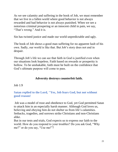As we see calamity and suffering in the book of Job, we must remember that we live in a fallen world where good behavior is not always rewarded and bad behavior is not always punished. When we see a notorious criminal prospering or an innocent child in pain, we say, "That's wrong." And it is.

Sin has twisted justice and made our world unpredictable and ugly.

The book of Job shows a good man suffering for no apparent fault of his own. Sadly, our world is like that. But Job's story does not end in despair.

Through Job's life we can see that faith in God is justified even when our situations look hopeless. Faith based on rewards or prosperity is hollow. To be unshakable, faith must be built on the confidence that God's ultimate purpose will come to pass.

## **Adversity destroys counterfeit faith.**

### Job 1:9

**Satan replied to the Lord, "Yes, Job fears God, but not without good reason!** 

Job was a model of trust and obedience to God, yet God permitted Satan to attack him in an especially harsh manner. Although God loves us, believing and obeying him do not shelter us from life's calamities. Setbacks, tragedies, and sorrows strike Christians and non-Christians alike.

But in our tests and trials, God expects us to express our faith to the world. How do you respond to your troubles? Do you ask God, "Why me?" or do you say, "Use me!"?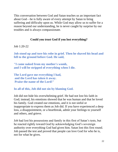This conversation between God and Satan teaches us an important fact about God—he is fully aware of every attempt by Satan to bring suffering and difficulty upon us. While God may allow us to suffer for a reason beyond our understanding, he is never caught by surprise by our troubles and is always compassionate.

## **Could you trust God if you lost everything?**

Job 1:20-22

**Job stood up and tore his robe in grief. Then he shaved his head and fell to the ground before God. He said,**

**"I came naked from my mother's womb, and I will be stripped of everything when I die.**

**The Lord gave me everything I had, and the Lord has taken it away. Praise the name of the Lord!"**

**In all of this, Job did not sin by blaming God.**

Job did not hide his overwhelming grief. He had not lost his faith in God; instead, his emotions showed that he was human and that he loved his family. God created our emotions, and it is not sinful or inappropriate to express them as Job did. If you have experienced a deep loss, a disappointment, or a heartbreak, admit your feelings to yourself and others, and grieve.

Job had lost his possessions and family in this first of Satan's tests, but he reacted rightly toward God by acknowledging God's sovereign authority over everything God had given him. Satan lost this first round. Job passed the test and proved that people can love God for who he is, not for what he gives.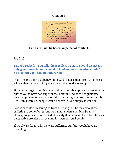# **Chapter 3**



# **Faith must not be based on personal comfort.**

Job 2:10

**But Job replied, "You talk like a godless woman. Should we accept only good things from the hand of God and never anything bad?" So in all this, Job said nothing wrong.**

Many people think that believing in God protects them from trouble, so when calamity comes, they question God's goodness and justice.

But the message of Job is that you should not give up on God because he allows you to have bad experiences. Faith in God does not guarantee personal prosperity, and lack of faith does not guarantee troubles in this life. If this were so, people would believe in God simply to get rich.

God is capable of rescuing us from suffering, but he may also allow suffering to come for reasons we cannot understand. It is Satan's strategy to get us to doubt God at exactly this moment. Here Job shows a perspective broader than seeking his own personal comfort.

If we always knew why we were suffering, our faith would have no room to grow.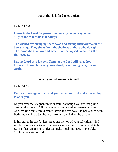### **Faith that is linked to optimism**

Psalm 11:1-4

**I trust in the Lord for protection. So why do you say to me, "Fly to the mountains for safety!**

**The wicked are stringing their bows and setting their arrows in the bow strings. They shoot from the shadows at those who do right. The foundations of law and order have collapsed. What can the righteous do?"**

**But the Lord is in his holy Temple; the Lord still rules from heaven. He watches everything closely, examining everyone on earth.** 

## **When you feel stagnant in faith**

Psalm 51:12

**Restore to me again the joy of your salvation, and make me willing to obey you.** 

Do you ever feel stagnant in your faith, as though you are just going through the motions? Has sin ever driven a wedge between you and God, making him seem distant? David felt this way. He had sinned with Bathsheba and had just been confronted by Nathan the prophet.

In his prayer he cried, "Restore to me the joy of your salvation." God wants us to be close to him and to experience his full and complete life. But sin that remains unconfessed makes such intimacy impossible. Confess your sin to God.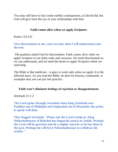You may still have to face some earthly consequences, as David did, but God will give back the joy of your relationship with him.

## **Faith comes alive when we apply Scripture.**

Psalm 119:125

**Give discernment to me, your servant; then I will understand your decrees.** 

The psalmist asked God for discernment. Faith comes alive when we apply Scripture to our daily tasks and concerns. We need discernment so we can understand, and we need the desire to apply Scripture where we need help.

The Bible is like medicine—it goes to work only when we apply it to the affected areas. As you read the Bible, be alert for lessons, commands, or examples that you can put into practice.

## **Faith won't eliminate feelings of rejection or disappointment.**

Jeremiah 21:1-2

**The Lord spoke through Jeremiah when King Zedekiah sent Pashhur son of Malkijah and Zephaniah son of Maaseiah, the priest, to speak with him.** 

**They begged Jeremiah, "Please ask the Lord to help us. King Nebuchadnezzar of Babylon has begun his attack on Judah. Perhaps the Lord will be gracious and do a mighty miracle as he has done in the past. Perhaps he will force Nebuchadnezzar to withdraw his armies."**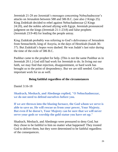Jeremiah 21-28 are Jeremiah's messages concerning Nebuchadnezzar's attacks on Jerusalem between 588 and 586 B.C. (see also 2 Kings 25). King Zedekiah decided to rebel against Nebuchadnezzar (2 Kings 24:20), and the nobles advised allying with Egypt. Jeremiah pronounced judgment on the kings (Jeremiah 21:1-23:8) and false prophets (Jeremiah 23:9-40) for leading the people astray.

King Zedekiah probably was referring to God's deliverance of Jerusalem from Sennacherib, king of Assyria, in the days of Hezekiah (Isaiah 36- 37). But Zedekiah's hopes were dashed. He was Judah's last ruler during the time of the exile of 586 B.C.

Pashhur came to the prophet for help. (This is not the same Pashhur as in Jeremiah 20:1.) God still had work for Jeremiah to do. In living out our faith, we may find that rejection, disappointment, or hard work has brought us to the point of despondency. But we are still needed. God has important work for us as well.

## **Being faithful regardless of the circumstances**

Daniel 3:16-18

**Shadrach, Meshach, and Abednego replied, "O Nebuchadnezzar, we do not need to defend ourselves before you.** 

**If we are thrown into the blazing furnace, the God whom we serve is able to save us. He will rescue us from your power, Your Majesty. But even if he doesn't, Your Majesty can be sure that we will never serve your gods or worship the gold statue you have set up."**

Shadrach, Meshach, and Abednego were pressured to deny God, but they chose to be faithful to him no matter what happened! They trusted God to deliver them, but they were determined to be faithful regardless of the consequences.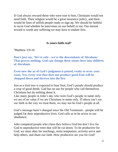If God always rescued those who were true to him, Christians would not need faith. Their religion would be a great insurance policy, and there would be lines of selfish people ready to sign up. We should be faithful to serve God whether he intervenes on our behalf or not. Our eternal reward is worth any suffering we may have to endure first.

## **Is yours faith real?**

Matthew 3:9-10

**Don't just say, 'We're safe—we're the descendants of Abraham.' That proves nothing. God can change these stones here into children of Abraham.** 

**Even now the ax of God's judgment is poised, ready to sever your roots. Yes, every tree that does not produce good fruit will be chopped down and thrown into the fire.** 

Just as a fruit tree is expected to bear fruit, God's people should produce a crop of good deeds. God has no use for people who call themselves Christians but do nothing about it.

Like many people in John's day who were God's people in name only, we are of no value if we are Christians in name only. If others can't see our faith in the way we treat them, we may not be God's people at all.

God's message hasn't changed since the Old Testament—people will be judged for their unproductive lives. God calls us to be *active* in our obedience.

John compared people who claim they believe God but don't live for God to unproductive trees that will be cut down. To be productive for God, we must obey his teachings, resist temptation, actively serve and help others, and share our faith. How productive are you for God?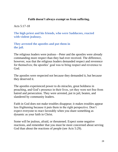## **Faith doesn't always exempt us from suffering.**

Acts 5:17-18

**The high priest and his friends, who were Sadducees, reacted with violent jealousy.** 

**They arrested the apostles and put them in the jail.** 

The religious leaders were jealous—Peter and the apostles were already commanding more respect than they had ever received. The difference, however, was that the religious leaders demanded respect and reverence for themselves; the apostles' goal was to bring respect and reverence to God.

The apostles were respected not because they demanded it, but because they deserved it.

The apostles experienced power to do miracles, great boldness in preaching, and God's presence in their lives, yet they were not free from hatred and persecution. They were arrested, put in jail, beaten, and slandered by community leaders.

Faith in God does not make troubles disappear; it makes troubles appear less frightening because it puts them in the right perspective. Don't expect everyone to react favorably when you share something as dynamic as your faith in Christ.

Some will be jealous, afraid, or threatened. Expect some negative reactions, and remember that you must be more concerned about serving God than about the reactions of people (see Acts 5:29).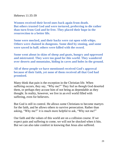Hebrews 11:35-39

**Women received their loved ones back again from death. But others trusted God and were tortured, preferring to die rather than turn from God and be free. They placed their hope in the resurrection to a better life.** 

**Some were mocked, and their backs were cut open with whips. Others were chained in dungeons. Some died by stoning, and some were sawed in half; others were killed with the sword.** 

**Some went about in skins of sheep and goats, hungry and oppressed and mistreated. They were too good for this world. They wandered over deserts and mountains, hiding in caves and holes in the ground.** 

**All of these people we have mentioned received God's approval because of their faith, yet none of them received all that God had promised.** 

Many think that pain is the exception in the Christian life. When suffering occurs, they say, "Why me?" They feel as though God deserted them, or perhaps they accuse him of not being as dependable as they thought. In reality, however, we live in an evil world filled with suffering, even for believers.

But God is still in control. He allows some Christians to become martyrs for the faith, and he allows others to survive persecution. Rather than asking, "Why me?" it is much more helpful to ask, "Why not me?"

Our faith and the values of this world are on a collision course. If we expect pain and suffering to come, we will not be shocked when it hits. But we can also take comfort in knowing that Jesus also suffered.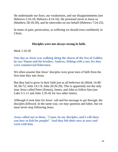He understands our fears, our weaknesses, and our disappointments (see Hebrews 2:16-18; Hebrews 4:14-16). He promised never to leave us (Matthew 28:18-20), and he intercedes on our behalf (Hebrews 7:24-25).

In times of pain, persecution, or suffering we should trust confidently in Christ.

## **Disciples were not always strong in faith.**

Mark 1:16-20

**One day as Jesus was walking along the shores of the Sea of Galilee, he saw Simon and his brother, Andrew, fishing with a net, for they were commercial fishermen.** 

We often assume that Jesus' disciples were great men of faith from the first time they met Jesus.

But they had to grow in their faith just as all believers do (Mark 14:48- 50, 66-72; John 14:1-9; John 20:26-29). This is apparently not the only time Jesus called Peter (Simon), James, and John to follow him (see Luke 5:1-11 and John 1:35-42 for two other times).

Although it took time for Jesus' call and his message to get through, the disciples *followed.* In the same way, we may question and falter, but we must never stop following Jesus.

**Jesus called out to them, "Come, be my disciples, and I will show you how to fish for people!" And they left their nets at once and went with him.**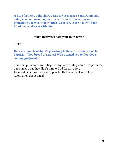**A little farther up the shore Jesus saw Zebedee's sons, James and John, in a boat mending their nets. He called them, too, and immediately they left their father, Zebedee, in the boat with the hired men and went with him.**

### **What motivates does your faith have?**

Luke 3:7

**Here is a sample of John's preaching to the crowds that came for baptism: "You brood of snakes! Who warned you to flee God's coming judgment?**

Some people wanted to be baptized by John so they could escape eternal punishment, but they didn't turn to God for salvation. John had harsh words for such people. He knew that God values reformation above ritual.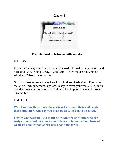## Chapter 4



# **The relationship between faith and deeds.**

Luke 3:8-9

Prove by the way you live that you have really turned from your sins and turned to God. Don't just say, 'We're safe—we're the descendants of Abraham.' That proves nothing.

God can change these stones here into children of Abraham. Even now the ax of God's judgment is poised, ready to sever your roots. Yes, every tree that does not produce good fruit will be chopped down and thrown into the fire."

Phil. 3:2-3

**Watch out for those dogs, those wicked men and their evil deeds, those mutilators who say you must be circumcised to be saved.** 

**For we who worship God in the Spirit are the only ones who are truly circumcised. We put no confidence in human effort. Instead, we boast about what Christ Jesus has done for us.**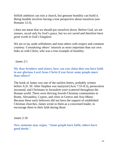Selfish ambition can ruin a church, but genuine humility can build it. Being humble involves having a true perspective about ourselves (see Romans 12:3).

t does not mean that we should put ourselves down. Before God, we are sinners, saved only by God's grace, but we *are* saved and therefore have great worth in God's kingdom.

We are to lay aside selfishness and treat others with respect and common courtesy. Considering others' interests as more important than our own links us with Christ, who was a true example of humility.

James 2:1

## **My dear brothers and sisters, how can you claim that you have faith in our glorious Lord Jesus Christ if you favor some people more than others?**

The book of James was one of the earliest letters, probably written before A.D. 50. After Stephen was martyred (Acts 7:55-8:3), persecution increased, and Christians in Jerusalem were scattered throughout the Roman world. There were thriving Jewish-Christian communities in Rome, Alexandria, Cyprus, and cities in Greece and Asia Minor. Because these early believers did not have the support of established Christian churches, James wrote to them as a concerned leader, to encourage them in their faith during those

James 2:18

**Now someone may argue, "Some people have faith; others have good deeds."**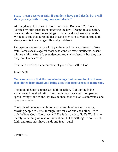**I say, "I can't see your faith if you don't have good deeds, but I will show you my faith through my good deeds."** 

At first glance, this verse seems to contradict Romans 3:28, "man is justified by faith apart from observing the law." Deeper investigation, however, shows that the teachings of James and Paul are not at odds. While it is true that our good deeds can never earn salvation, true faith always results in a changed life and good deeds.

Paul speaks against those who try to be saved by deeds instead of true faith; James speaks against those who confuse mere intellectual assent with true faith. After all, even demons know who Jesus is, but they don't obey him (James 2:19).

True faith involves a commitment of your whole self to God.

James 5:20

### **You can be sure that the one who brings that person back will save that sinner from death and bring about the forgiveness of many sins.**

The book of James emphasizes faith in action. Right living is the evidence and result of faith. The church must serve with compassion, speak lovingly and truthfully, live in obedience to God's commands, and love one another.

The body of believers ought to be an example of heaven on earth, drawing people to Christ through love for God and each other. If we truly believe God's Word, we will *live* it day by day. God's Word is not merely something we read or think about, but something we do. Belief, faith, and trust must have hands and feet—ours!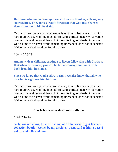**But those who fail to develop these virtues are blind or, at least, very shortsighted. They have already forgotten that God has cleansed them from their old life of sin.**

Our faith must go beyond what we believe; it must become a dynamic part of all we do, resulting in good fruit and spiritual maturity. Salvation does not depend on good deeds, but it results in good deeds. A person who claims to be saved while remaining unchanged does not understand faith or what God has done for him or her.

1 John 2:28-29

**And now, dear children, continue to live in fellowship with Christ so that when he returns, you will be full of courage and not shrink back from him in shame.** 

**Since we know that God is always right, we also know that all who do what is right are his children.**

Our faith must go beyond what we believe; it must become a dynamic part of all we do, resulting in good fruit and spiritual maturity. Salvation does not depend on good deeds, but it results in good deeds. A person who claims to be saved while remaining unchanged does not understand faith or what God has done for him or her.

#### **New believers can share your faith too.**

Mark 2:14-15

**As he walked along, he saw Levi son of Alphaeus sitting at his taxcollection booth. "Come, be my disciple," Jesus said to him. So Levi got up and followed him.**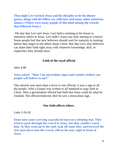**That night Levi invited Jesus and his disciples to be his dinner guests, along with his fellow tax collectors and many other notorious sinners. (There were many people of this kind among the crowds that followed Jesus.)** 

The day that Levi met Jesus, Levi held a meeting at his house to introduce others to Jesus. Levi didn't waste any time starting to witness! Some people feel that new believers should wait for maturity or training before they begin to tell others about Christ. But like Levi, new believers can share their faith right away with whatever knowledge, skill, or experience they already have.

### **Faith of the royal official**

 $John 4.48$ 

### **Jesus asked, "Must I do miraculous signs and wonders before you people will believe in me?"**

This miracle was more than a favor to one official; it was a sign to all the people. John's Gospel was written to all mankind to urge faith in Christ. Here a government official had faith that Jesus could do what he claimed. The official believed; *then* he saw a miraculous sign.

### **Our faith affects others.**

Luke 5:18-20

**Some men came carrying a paralyzed man on a sleeping mat. They tried to push through the crowd to Jesus, but they couldn't reach him. So they went up to the roof, took off some tiles, and lowered the sick man down into the crowd, still on his mat, right in front of Jesus.**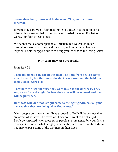### **Seeing their faith, Jesus said to the man, "Son, your sins are forgiven."**

It wasn't the paralytic's faith that impressed Jesus, but the faith of his friends. Jesus responded to their faith and healed the man. For better or worse, our faith affects others.

We cannot make another person a Christian, but we can do much through our words, actions, and love to give him or her a chance to respond. Look for opportunities to bring your friends to the living Christ.

### **Why some may resist your faith.**

John 3:19-21

**Their judgment is based on this fact: The light from heaven came into the world, but they loved the darkness more than the light, for their actions were evil.** 

**They hate the light because they want to sin in the darkness. They stay away from the light for fear their sins will be exposed and they will be punished.** 

**But those who do what is right come to the light gladly, so everyone can see that they are doing what God wants."**

Many people don't want their lives exposed to God's light because they are afraid of what will be revealed. They don't want to be changed. Don't be surprised when these same people are threatened by your desire to obey God and do what is right, because they are afraid that the light in you may expose some of the darkness in their lives.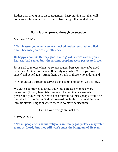Rather than giving in to discouragement, keep praying that they will come to see how much better it is to live in light than in darkness.

## **Faith is often proved through persecution.**

Matthew 5:11-12

**"God blesses you when you are mocked and persecuted and lied about because you are my followers.** 

**Be happy about it! Be very glad! For a great reward awaits you in heaven. And remember, the ancient prophets were persecuted, too.**

Jesus said to rejoice when we're persecuted. Persecution can be good because (1) it takes our eyes off earthly rewards, (2) it strips away superficial belief, (3) it strengthens the faith of those who endure, and

(4) Our attitude through it serves as an example to others who follow.

We can be comforted to know that God's greatest prophets were persecuted (Elijah, Jeremiah, Daniel). The fact that we are being persecuted proves that we have been faithful; faithless people would be unnoticed. In the future God will reward the faithful by receiving them into his eternal kingdom where there is no more persecution.

## **Faith alone brings eternal life.**

Matthew 7:21-23

**"Not all people who sound religious are really godly. They may refer to me as 'Lord,' but they still won't enter the Kingdom of Heaven.**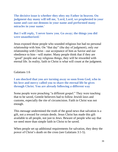**The decisive issue is whether they obey my Father in heaven. On judgment day many will tell me, 'Lord, Lord, we prophesied in your name and cast out demons in your name and performed many miracles in your name.'** 

**But I will reply, 'I never knew you. Go away; the things you did were unauthorized.'**

Jesus exposed those people who sounded religious but had no personal relationship with him. On "that day" (the day of judgment), only our relationship with Christ—our acceptance of him as Savior and our obedience to him—will matter. Many people think that if they are "good" people and say religious things, they will be rewarded with eternal life. In reality, faith in Christ is what will count at the judgment.

Galatians 1:6

**I am shocked that you are turning away so soon from God, who in his love and mercy called you to share the eternal life he gives through Christ. You are already following a different way** 

Some people were preaching "a different gospel." They were teaching that to be saved, Gentile believers had to follow Jewish laws and customs, especially the rite of circumcision. Faith in Christ was not enough.

This message undermined the truth of the good news that salvation is a gift, not a reward for certain deeds. Jesus Christ has made this gift available to all people, not just to Jews. Beware of people who say that we need more than simple faith in Christ to be saved.

When people set up additional requirements for salvation, they deny the power of Christ's death on the cross (see Galatians 3:1-5).